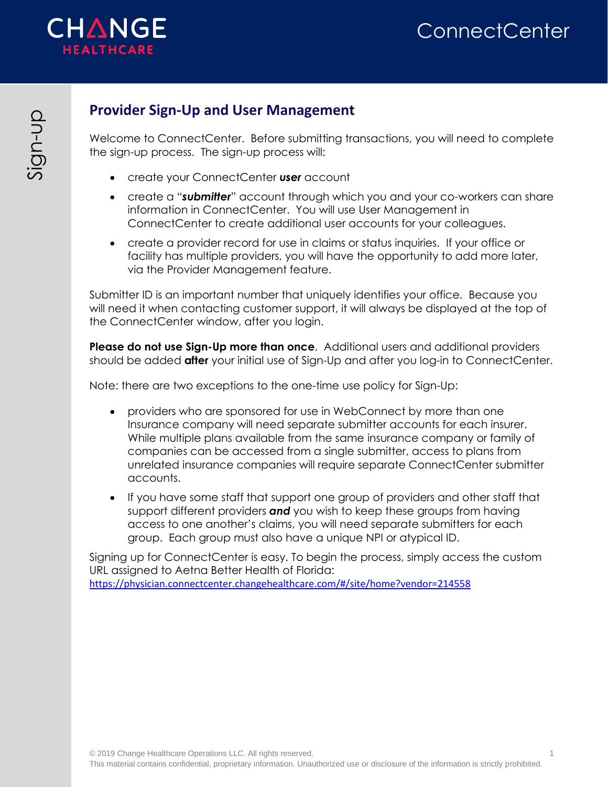

# **ConnectCenter**

# <span id="page-0-0"></span>**Provider Sign-Up and User Management**

Welcome to ConnectCenter. Before submitting transactions, you will need to complete the sign-up process. The sign-up process will:

- create your ConnectCenter *user* account
- create a "*submitter*" account through which you and your co-workers can share information in ConnectCenter. You will use User Management in ConnectCenter to create additional user accounts for your colleagues.
- create a provider record for use in claims or status inquiries. If your office or facility has multiple providers, you will have the opportunity to add more later, via the Provider Management feature.

Submitter ID is an important number that uniquely identifies your office. Because you will need it when contacting customer support, it will always be displayed at the top of the ConnectCenter window, after you login.

**Please do not use Sign-Up more than once**. Additional users and additional providers should be added **after** your initial use of Sign-Up and after you log-in to ConnectCenter.

Note: there are two exceptions to the one-time use policy for Sign-Up:

- providers who are sponsored for use in WebConnect by more than one Insurance company will need separate submitter accounts for each insurer. While multiple plans available from the same insurance company or family of companies can be accessed from a single submitter, access to plans from unrelated insurance companies will require separate ConnectCenter submitter accounts.
- If you have some staff that support one group of providers and other staff that support different providers *and* you wish to keep these groups from having access to one another's claims, you will need separate submitters for each group. Each group must also have a unique NPI or atypical ID.

Signing up for ConnectCenter is easy. To begin the process, simply access the custom URL assigned to Aetna Better Health of Florida: <https://physician.connectcenter.changehealthcare.com/#/site/home?vendor=214558>

Sign

Q<br>T-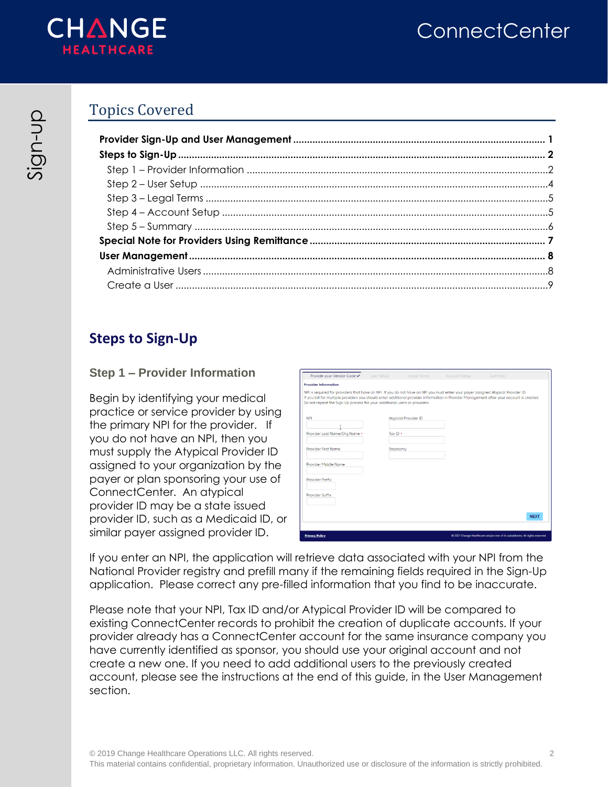

# **ConnectCenter**

# Topics Covered

## <span id="page-1-0"></span>**Steps to Sign-Up**

## **Step 1 – Provider Information**

<span id="page-1-1"></span>Begin by identifying your medical practice or service provider by using the primary NPI for the provider. If you do not have an NPI, then you must supply the Atypical Provider ID assigned to your organization by the payer or plan sponsoring your use of ConnectCenter. An atypical provider ID may be a state issued provider ID, such as a Medicaid ID, or similar payer assigned provider ID.

| NPI is required for providers that have an NPI. If you do not have an NPI you must enter your payer assigned Atypical Provider ID.        |                             |  |             |  |
|-------------------------------------------------------------------------------------------------------------------------------------------|-----------------------------|--|-------------|--|
| If you bill for multiple providers you should enter additional provider information in Provider Management after your account is created. |                             |  |             |  |
| Do not repeat the Sign Up process for your additional users or providers.                                                                 |                             |  |             |  |
| <b>NPI</b>                                                                                                                                | <b>Atypical Provider ID</b> |  |             |  |
|                                                                                                                                           |                             |  |             |  |
| Provider Last Name/Org Name *                                                                                                             | Tax $ID +$                  |  |             |  |
|                                                                                                                                           |                             |  |             |  |
| Provider First Name                                                                                                                       | Taxonomy                    |  |             |  |
| Provider Middle Name                                                                                                                      |                             |  |             |  |
|                                                                                                                                           |                             |  |             |  |
| Provider Prefix                                                                                                                           |                             |  |             |  |
| Provider Suffix                                                                                                                           |                             |  |             |  |
|                                                                                                                                           |                             |  |             |  |
|                                                                                                                                           |                             |  |             |  |
|                                                                                                                                           |                             |  | <b>NEXT</b> |  |

If you enter an NPI, the application will retrieve data associated with your NPI from the National Provider registry and prefill many if the remaining fields required in the Sign-Up application. Please correct any pre-filled information that you find to be inaccurate.

Please note that your NPI, Tax ID and/or Atypical Provider ID will be compared to existing ConnectCenter records to prohibit the creation of duplicate accounts. If your provider already has a ConnectCenter account for the same insurance company you have currently identified as sponsor, you should use your original account and not create a new one. If you need to add additional users to the previously created account, please see the instructions at the end of this guide, in the User Management section.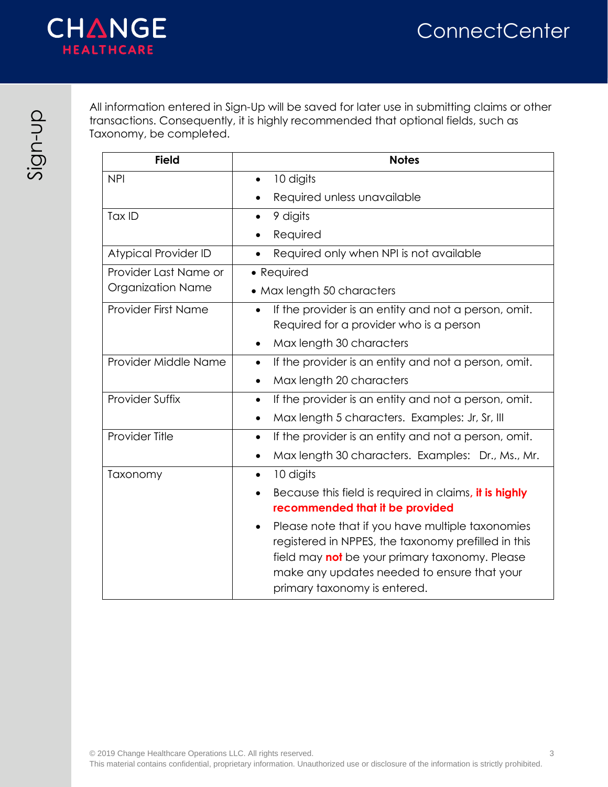

All information entered in Sign-Up will be saved for later use in submitting claims or other transactions. Consequently, it is highly recommended that optional fields, such as Taxonomy, be completed.

| <b>Field</b>               | <b>Notes</b>                                                                                                                                                                                                                                                 |
|----------------------------|--------------------------------------------------------------------------------------------------------------------------------------------------------------------------------------------------------------------------------------------------------------|
| <b>NPI</b>                 | 10 digits                                                                                                                                                                                                                                                    |
|                            | Required unless unavailable                                                                                                                                                                                                                                  |
| Tax ID                     | 9 digits<br>$\bullet$                                                                                                                                                                                                                                        |
|                            | Required                                                                                                                                                                                                                                                     |
| Atypical Provider ID       | Required only when NPI is not available                                                                                                                                                                                                                      |
| Provider Last Name or      | • Required                                                                                                                                                                                                                                                   |
| <b>Organization Name</b>   | • Max length 50 characters                                                                                                                                                                                                                                   |
| <b>Provider First Name</b> | If the provider is an entity and not a person, omit.                                                                                                                                                                                                         |
|                            | Required for a provider who is a person                                                                                                                                                                                                                      |
|                            | Max length 30 characters                                                                                                                                                                                                                                     |
| Provider Middle Name       | If the provider is an entity and not a person, omit.<br>$\bullet$                                                                                                                                                                                            |
|                            | Max length 20 characters                                                                                                                                                                                                                                     |
| <b>Provider Suffix</b>     | If the provider is an entity and not a person, omit.<br>$\bullet$                                                                                                                                                                                            |
|                            | Max length 5 characters. Examples: Jr, Sr, III                                                                                                                                                                                                               |
| Provider Title             | If the provider is an entity and not a person, omit.<br>$\bullet$                                                                                                                                                                                            |
|                            | Max length 30 characters. Examples: Dr., Ms., Mr.                                                                                                                                                                                                            |
| Taxonomy                   | 10 digits<br>$\bullet$                                                                                                                                                                                                                                       |
|                            | Because this field is required in claims, it is highly                                                                                                                                                                                                       |
|                            | recommended that it be provided                                                                                                                                                                                                                              |
|                            | Please note that if you have multiple taxonomies<br>$\bullet$<br>registered in NPPES, the taxonomy prefilled in this<br>field may <b>not</b> be your primary taxonomy. Please<br>make any updates needed to ensure that your<br>primary taxonomy is entered. |

 $\frac{Q}{Q}$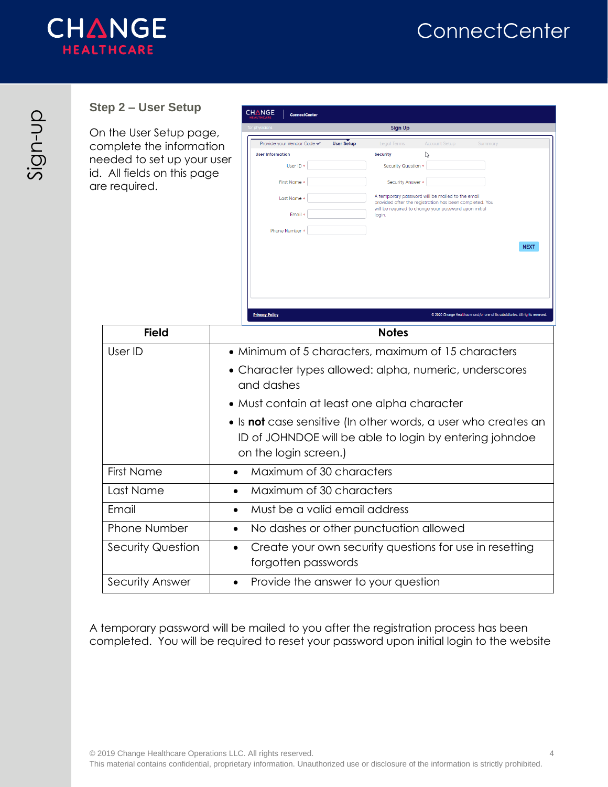

## <span id="page-3-0"></span>**Step 2 – User Setup**

On the User Setup complete the info needed to set up id. All fields on thi are required.

| Jser Setup       | <b>CHANGE</b><br>ConnectCenter<br>HEALTHCARE                                                                               |
|------------------|----------------------------------------------------------------------------------------------------------------------------|
| er Setup page,   | for physicians<br><b>Sign Up</b>                                                                                           |
| the information  | Provide your Vendor Code ✔<br><b>User Setup</b><br><b>Legal Terms</b><br><b>Account Setup</b><br>Summary                   |
| set up your user | <b>User Information</b><br><b>Security</b>                                                                                 |
| Is on this page  | User ID *<br>Security Question *                                                                                           |
| эd.              | First Name *<br>Security Answer *                                                                                          |
|                  | A temporary password will be mailed to the email<br>Last Name *<br>provided after the registration has been completed. You |
|                  | will be required to change your password upon initial<br>Email *<br>login.                                                 |
|                  | Phone Number *                                                                                                             |
|                  | <b>NEXT</b>                                                                                                                |
|                  |                                                                                                                            |
|                  | <b>Privacy Policy</b><br>@ 2020 Change Healthcare and/or one of its subsidiaries. All rights reserved.                     |
| <b>Field</b>     | <b>Notes</b>                                                                                                               |
|                  | $\bullet$ Minimum of 5 characters maximum of 15 characters                                                                 |

| rield                    | <b>NOTES</b>                                                                                                                                       |
|--------------------------|----------------------------------------------------------------------------------------------------------------------------------------------------|
| User ID                  | • Minimum of 5 characters, maximum of 15 characters                                                                                                |
|                          | • Character types allowed: alpha, numeric, underscores<br>and dashes                                                                               |
|                          | • Must contain at least one alpha character                                                                                                        |
|                          | • Is not case sensitive (In other words, a user who creates an<br>ID of JOHNDOE will be able to login by entering johndoe<br>on the login screen.) |
| <b>First Name</b>        | Maximum of 30 characters                                                                                                                           |
| Last Name                | Maximum of 30 characters<br>$\bullet$                                                                                                              |
| Email                    | Must be a valid email address<br>$\bullet$                                                                                                         |
| <b>Phone Number</b>      | No dashes or other punctuation allowed<br>٠                                                                                                        |
| <b>Security Question</b> | Create your own security questions for use in resetting<br>$\bullet$<br>forgotten passwords                                                        |
| Security Answer          | Provide the answer to your question<br>$\bullet$                                                                                                   |

A temporary password will be mailed to you after the registration process has been completed. You will be required to reset your password upon initial login to the website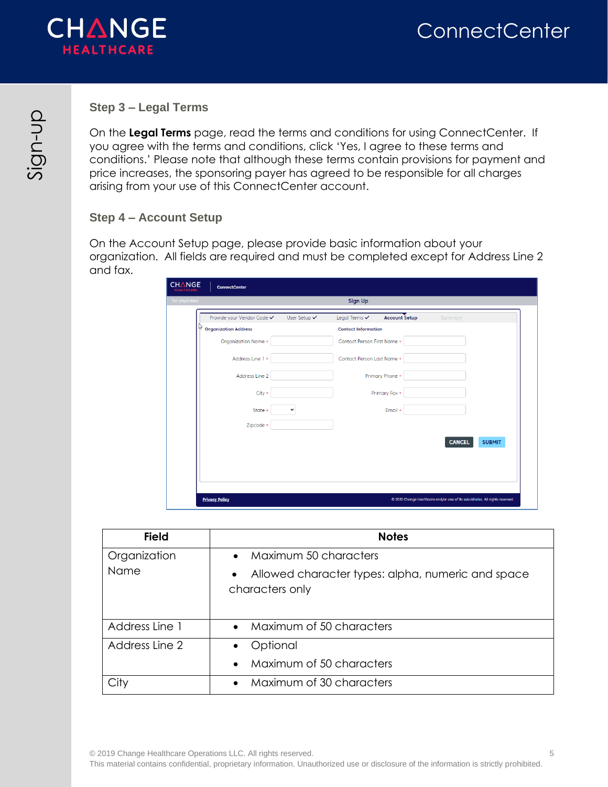

#### <span id="page-4-0"></span>**Step 3 – Legal Terms**

On the **Legal Terms** page, read the terms and conditions for using ConnectCenter. If you agree with the terms and conditions, click 'Yes, I agree to these terms and conditions.' Please note that although these terms contain provisions for payment and price increases, the sponsoring payer has agreed to be responsible for all charges arising from your use of this ConnectCenter account.

#### <span id="page-4-1"></span>**Step 4 – Account Setup**

On the Account Setup page, please provide basic information about your organization. All fields are required and must be completed except for Address Line 2 and fax.

| Provide your Vendor Code ✔    | User Setup $\checkmark$ | <b>Account Setup</b><br>Legal Terms $\checkmark$ | Summary                        |
|-------------------------------|-------------------------|--------------------------------------------------|--------------------------------|
| $\gamma$ Organization Address |                         | <b>Contact Information</b>                       |                                |
| Organization Name *           |                         | Contact Person First Name *                      |                                |
| Address Line 1 *              |                         | Contact Person Last Name *                       |                                |
| Address Line 2                |                         | Primary Phone *                                  |                                |
| $City *$                      |                         | Primary Fax *                                    |                                |
| State *                       | $\checkmark$            | Email *                                          |                                |
| Zipcode *                     |                         |                                                  |                                |
|                               |                         |                                                  | <b>CANCEL</b><br><b>SUBMIT</b> |
|                               |                         |                                                  |                                |
|                               |                         |                                                  |                                |

| <b>Field</b>   | <b>Notes</b>                                                         |
|----------------|----------------------------------------------------------------------|
| Organization   | Maximum 50 characters<br>$\bullet$                                   |
| <b>Name</b>    | Allowed character types: alpha, numeric and space<br>characters only |
| Address Line 1 | Maximum of 50 characters                                             |
| Address Line 2 | Optional                                                             |
|                | Maximum of 50 characters<br>$\bullet$                                |
|                | Maximum of 30 characters                                             |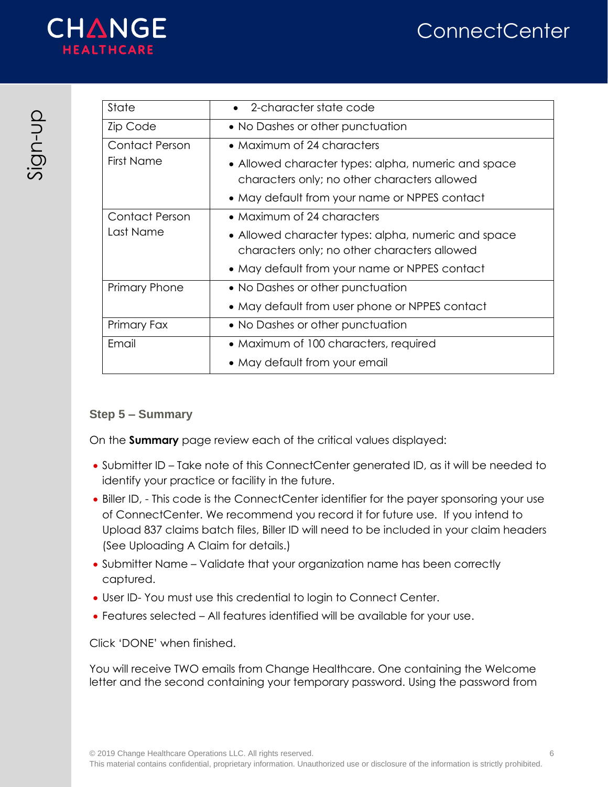

| State                 | 2-character state code                                                                              |
|-----------------------|-----------------------------------------------------------------------------------------------------|
| Zip Code              | • No Dashes or other punctuation                                                                    |
| <b>Contact Person</b> | • Maximum of 24 characters                                                                          |
| <b>First Name</b>     | • Allowed character types: alpha, numeric and space<br>characters only; no other characters allowed |
|                       | • May default from your name or NPPES contact                                                       |
| <b>Contact Person</b> | • Maximum of 24 characters                                                                          |
| Last Name             | • Allowed character types: alpha, numeric and space                                                 |
|                       | characters only; no other characters allowed                                                        |
|                       | • May default from your name or NPPES contact                                                       |
| <b>Primary Phone</b>  | • No Dashes or other punctuation                                                                    |
|                       | • May default from user phone or NPPES contact                                                      |
| Primary Fax           | • No Dashes or other punctuation                                                                    |
| Email                 | • Maximum of 100 characters, required                                                               |
|                       | • May default from your email                                                                       |

## <span id="page-5-0"></span>**Step 5 – Summary**

On the **Summary** page review each of the critical values displayed:

- Submitter ID Take note of this ConnectCenter generated ID, as it will be needed to identify your practice or facility in the future.
- Biller ID, This code is the ConnectCenter identifier for the payer sponsoring your use of ConnectCenter. We recommend you record it for future use. If you intend to Upload 837 claims batch files, Biller ID will need to be included in your claim headers (See Uploading A Claim for details.)
- Submitter Name Validate that your organization name has been correctly captured.
- User ID- You must use this credential to login to Connect Center.
- Features selected All features identified will be available for your use.

Click 'DONE' when finished.

You will receive TWO emails from Change Healthcare. One containing the Welcome letter and the second containing your temporary password. Using the password from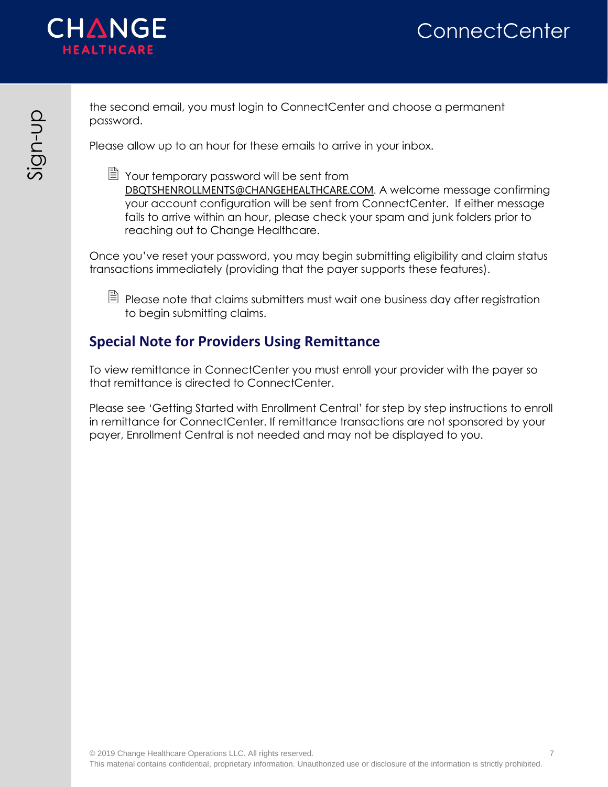

the second email, you must login to ConnectCenter and choose a permanent password.

Please allow up to an hour for these emails to arrive in your inbox.

■ Your temporary password will be sent from DBQTSHENROLLMENTS@CHANGEHEALTHCARE.COM. A welcome message confirming your account configuration will be sent from ConnectCenter. If either message fails to arrive within an hour, please check your spam and junk folders prior to reaching out to Change Healthcare.

Once you've reset your password, you may begin submitting eligibility and claim status transactions immediately (providing that the payer supports these features).

 $\Box$  Please note that claims submitters must wait one business day after registration to begin submitting claims.

# <span id="page-6-0"></span>**Special Note for Providers Using Remittance**

To view remittance in ConnectCenter you must enroll your provider with the payer so that remittance is directed to ConnectCenter.

Please see 'Getting Started with Enrollment Central' for step by step instructions to enroll in remittance for ConnectCenter. If remittance transactions are not sponsored by your payer, Enrollment Central is not needed and may not be displayed to you.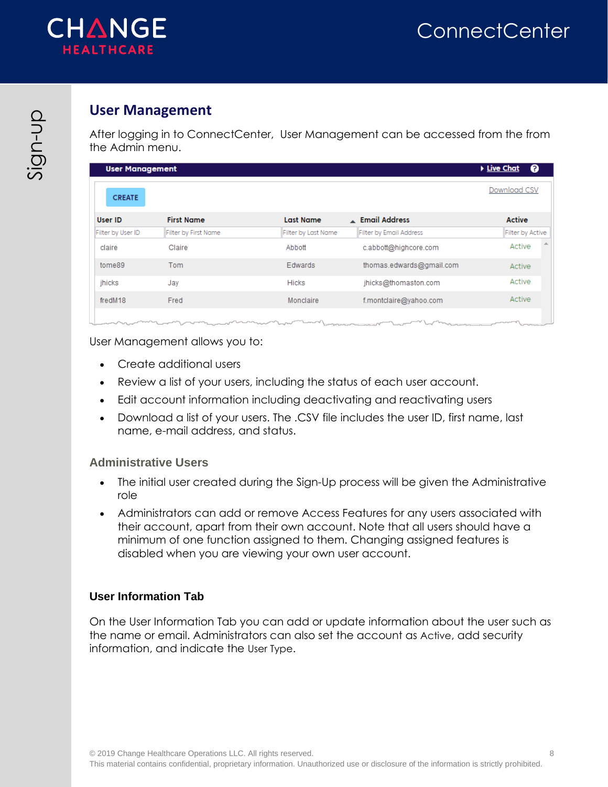

# <span id="page-7-0"></span>**User Management**

After logging in to ConnectCenter, User Management can be accessed from the from the Admin menu.

| <b>User Management</b> |                                                                                                                     |                     |                          | ℯ<br>▶ <u>Live Chat</u> |
|------------------------|---------------------------------------------------------------------------------------------------------------------|---------------------|--------------------------|-------------------------|
| <b>CREATE</b>          |                                                                                                                     |                     |                          | Download CSV            |
| <b>User ID</b>         | <b>First Name</b>                                                                                                   | <b>Last Name</b>    | Email Address            | <b>Active</b>           |
| Filter by User ID      | Filter by First Name                                                                                                | Filter by Last Name | Filter by Email Address  | Filter by Active        |
| claire                 | Claire                                                                                                              | Abbott              | c.abbott@highcore.com    | Active                  |
| tome89                 | Tom                                                                                                                 | Edwards             | thomas.edwards@gmail.com | Active                  |
| jhicks                 | Jay                                                                                                                 | <b>Hicks</b>        | jhicks@thomaston.com     | Active                  |
| fredM18                | Fred                                                                                                                | Monclaire           | f.montclaire@yahoo.com   | Active                  |
|                        | $\alpha$ and $\alpha$ and $\alpha$ are the contract of $\alpha$ and $\alpha$ and $\alpha$ and $\alpha$ and $\alpha$ |                     |                          | $- - - - -$             |

User Management allows you to:

- Create additional users
- Review a list of your users, including the status of each user account.
- Edit account information including deactivating and reactivating users
- Download a list of your users. The .CSV file includes the user ID, first name, last name, e-mail address, and status.

#### <span id="page-7-1"></span>**Administrative Users**

- The initial user created during the Sign-Up process will be given the Administrative role
- Administrators can add or remove Access Features for any users associated with their account, apart from their own account. Note that all users should have a minimum of one function assigned to them. Changing assigned features is disabled when you are viewing your own user account.

### **User Information Tab**

On the User Information Tab you can add or update information about the user such as the name or email. Administrators can also set the account as Active, add security information, and indicate the User Type.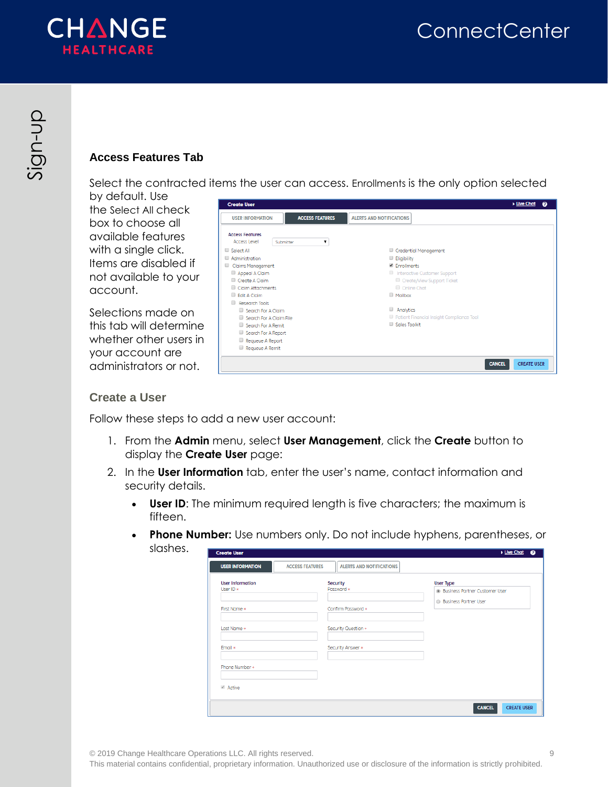

## **Access Features Tab**

Select the contracted items the user can access. Enrollments is the only option selected

by default. Use the Select All check box to choose all available features with a single click. Items are disabled if not available to your account.

Selections made on this tab will determine whether other users in your account are administrators or not.

| <b>Create User</b>                                       | <b>Live Chat</b><br>$\bullet$             |
|----------------------------------------------------------|-------------------------------------------|
| <b>USER INFORMATION</b><br><b>ACCESS FEATURES</b>        | <b>ALERTS AND NOTIFICATIONS</b>           |
| <b>Access Features</b><br>Access Level<br>Submitter<br>7 |                                           |
| Select All                                               | Credential Management                     |
| Administration                                           | Eligibility                               |
| Claims Management                                        | Enrollments                               |
| Appeal A Claim                                           | Interactive Customer Support              |
| Create A Claim                                           | Create/View Support Ticket                |
| Claim Attachments                                        | Conline Chat                              |
| Edit A Claim                                             | <b>Mailbox</b>                            |
| Research Tools                                           |                                           |
| Search For A Claim                                       | Analytics                                 |
| Search For A Claim File                                  | Patient Financial Insight Compliance Tool |
| Search For A Remit                                       | Sales Toolkit                             |
| Search For A Report                                      |                                           |
| Requeue A Report                                         |                                           |
| Requeue A Remit                                          |                                           |
|                                                          | <b>CANCEL</b><br><b>CREATE USER</b>       |

### <span id="page-8-0"></span>**Create a User**

Follow these steps to add a new user account:

- 1. From the **Admin** menu, select **User Management**, click the **Create** button to display the **Create User** page:
- 2. In the **User Information** tab, enter the user's name, contact information and security details.
	- **User ID**: The minimum required length is five characters; the maximum is fifteen.
	- **Phone Number:** Use numbers only. Do not include hyphens, parentheses, or

| slashes. | <b>Create User</b>                   |                        |                                 | ▶ <u>Live Chat</u><br>$\bullet$                           |
|----------|--------------------------------------|------------------------|---------------------------------|-----------------------------------------------------------|
|          | <b>USER INFORMATION</b>              | <b>ACCESS FEATURES</b> | <b>ALERTS AND NOTIFICATIONS</b> |                                                           |
|          | <b>User Information</b><br>User ID * |                        | Security<br>Password *          | <b>User Type</b><br><b>Business Partner Customer User</b> |
|          | First Name *                         |                        | Confirm Password *              | <b>Business Partner User</b>                              |
|          | Last Name *                          |                        | Security Question *             |                                                           |
|          | Email *                              |                        | Security Answer *               |                                                           |
|          | Phone Number *                       |                        |                                 |                                                           |
|          | Active                               |                        |                                 |                                                           |
|          |                                      |                        |                                 | <b>CANCEL</b><br><b>CREATE USER</b>                       |

© 2019 Change Healthcare Operations LLC. All rights reserved. 9

This material contains confidential, proprietary information. Unauthorized use or disclosure of the information is strictly prohibited.